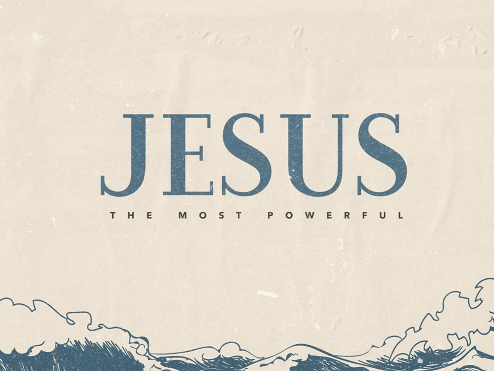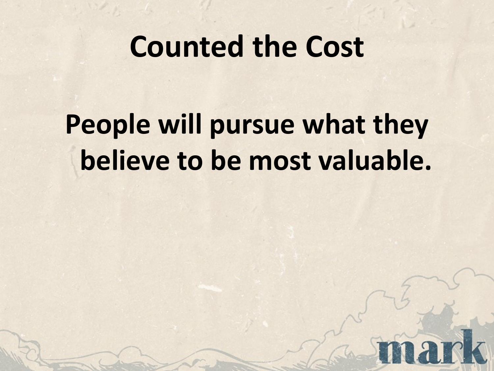### **Counted the Cost**

## **People will pursue what they believe to be most valuable.**

 $\overline{2}$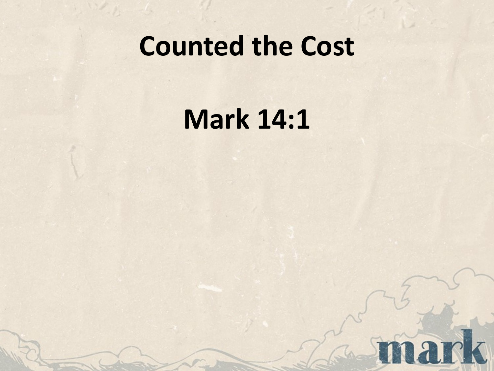#### **Counted the Cost**

**Mark 14:1**

nark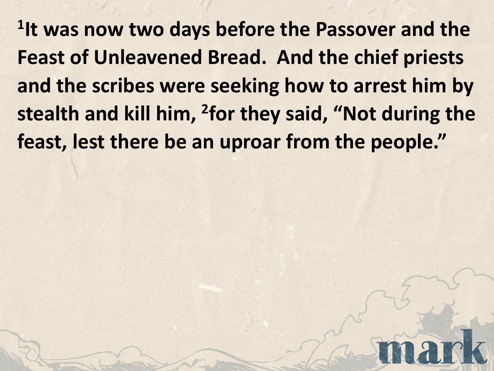**1It was now two days before the Passover and the Feast of Unleavened Bread. And the chief priests and the scribes were seeking how to arrest him by stealth and kill him, 2for they said, "Not during the feast, lest there be an uproar from the people."**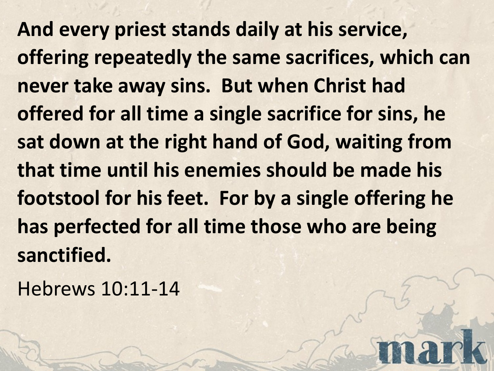**And every priest stands daily at his service, offering repeatedly the same sacrifices, which can never take away sins. But when Christ had offered for all time a single sacrifice for sins, he sat down at the right hand of God, waiting from that time until his enemies should be made his footstool for his feet. For by a single offering he has perfected for all time those who are being sanctified.** 

Hebrews 10:11-14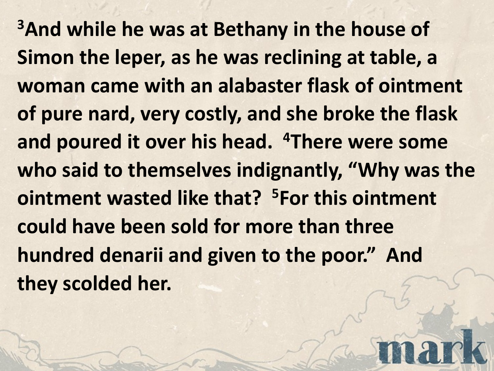**3And while he was at Bethany in the house of Simon the leper, as he was reclining at table, a woman came with an alabaster flask of ointment of pure nard, very costly, and she broke the flask and poured it over his head. 4There were some who said to themselves indignantly, "Why was the ointment wasted like that? 5For this ointment could have been sold for more than three hundred denarii and given to the poor." And they scolded her.**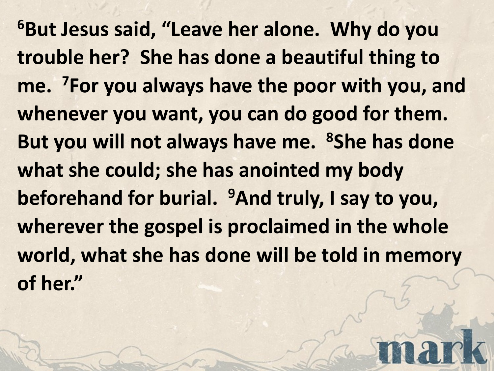**6But Jesus said, "Leave her alone. Why do you trouble her? She has done a beautiful thing to me. 7For you always have the poor with you, and whenever you want, you can do good for them. But you will not always have me. 8She has done what she could; she has anointed my body beforehand for burial. 9And truly, I say to you, wherever the gospel is proclaimed in the whole world, what she has done will be told in memory of her."**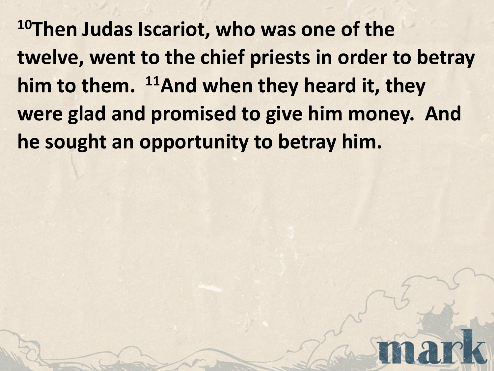**10Then Judas Iscariot, who was one of the twelve, went to the chief priests in order to betray him to them. 11And when they heard it, they were glad and promised to give him money. And he sought an opportunity to betray him.**